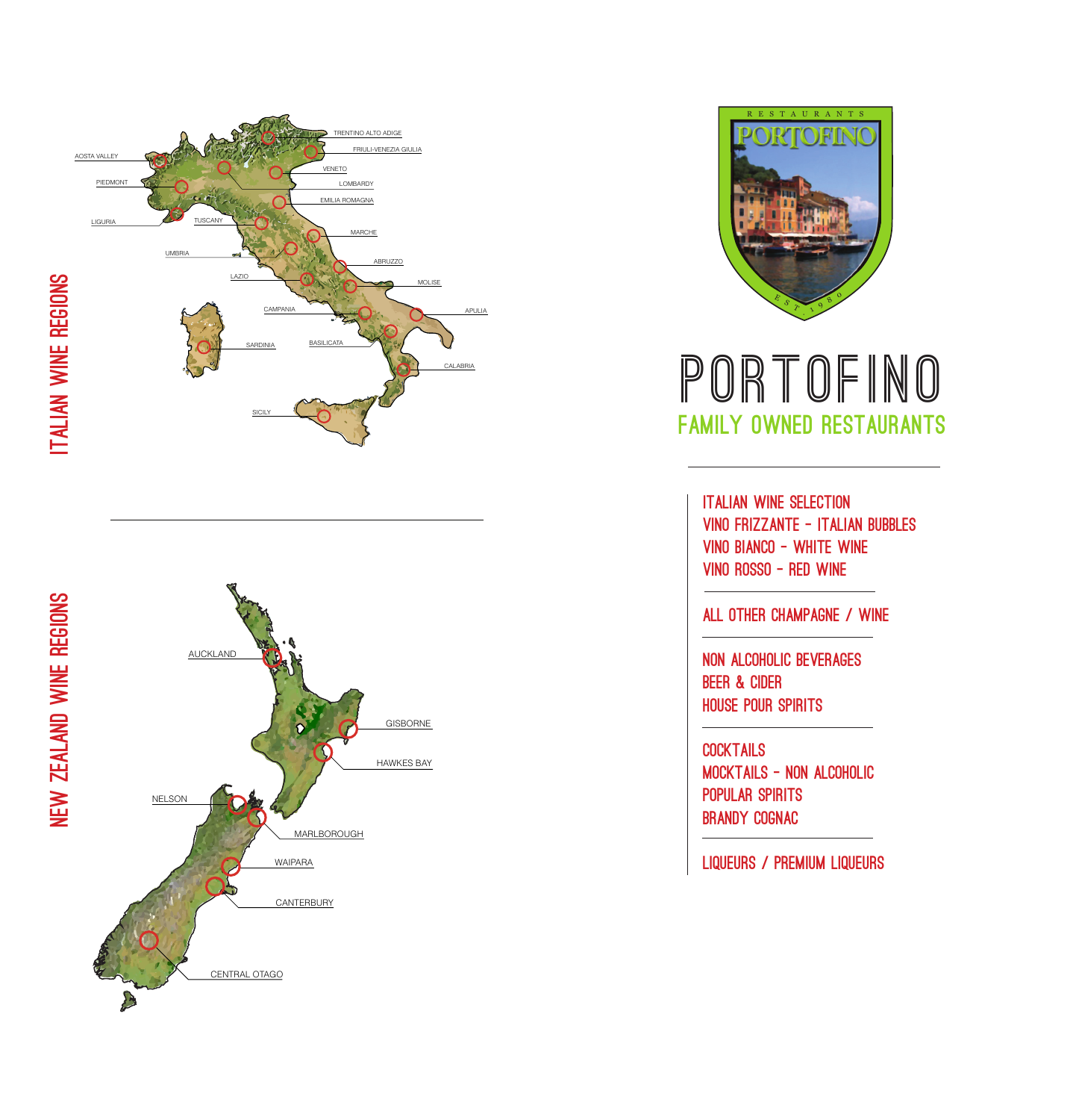





# **PORTOFINO** FAMILY OWNED RESTAURANTS

ITALIAN WINE SELECTION VINO FRIZZANTE - ITALIAN BUBBLES VINO BIANCO - WHITE WINE VINO ROSSO - RED WINE

#### ALL OTHER CHAMPAGNE / WINE

NON ALCOHOLIC BEVERAGES BEER & CIDER HOUSE POUR SPIRITS

**COCKTAILS** MOCKTAILS - NON ALCOHOLIC POPULAR SPIRITS BRANDY COGNAC

LIQUEURS / PREMIUM LIQUEURS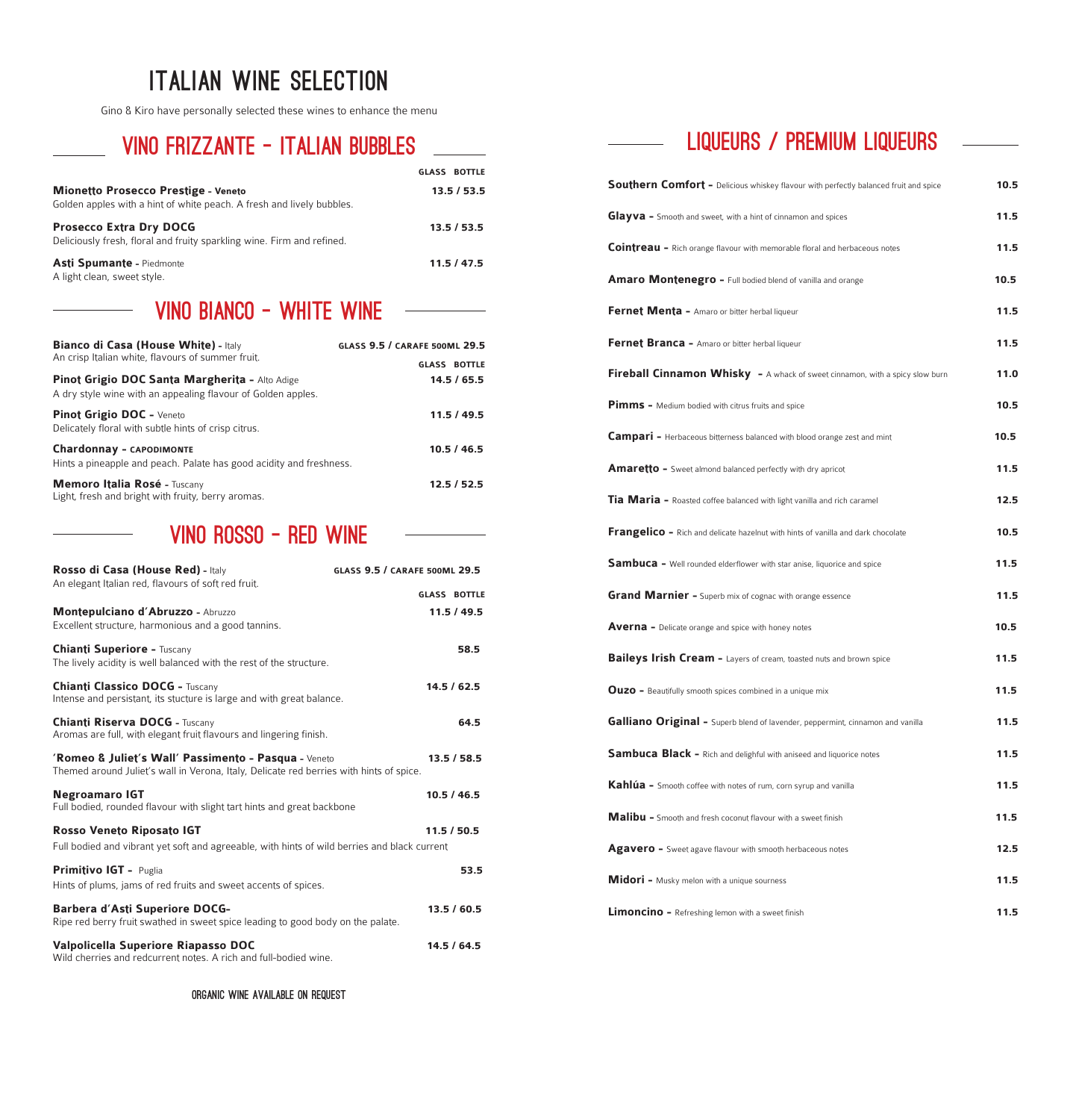# ITALIAN WINE SELECTION

Gino & Kiro have personally selected these wines to enhance the menu

# VINO FRIZZANTE - ITALIAN BUBBLES

 $\overline{\phantom{0}}$ 

|                                                                                                                     | <b>GLASS BOTTLE</b> |
|---------------------------------------------------------------------------------------------------------------------|---------------------|
| <b>Mionetto Prosecco Prestige - Veneto</b><br>Golden apples with a hint of white peach. A fresh and lively bubbles. | 13.5 / 53.5         |
| <b>Prosecco Extra Dry DOCG</b><br>Deliciously fresh, floral and fruity sparkling wine. Firm and refined.            | 13.5/53.5           |
| <b>Asti Spumante - Piedmonte</b><br>A light clean, sweet style.                                                     | 11.5/47.5           |

## VINO BIANCO - WHITE WINE

| <b>Bianco di Casa (House White) - Italy</b><br>An crisp Italian white, flavours of summer fruit.               | <b>GLASS 9.5 / CARAFE 500ML 29.5</b> |
|----------------------------------------------------------------------------------------------------------------|--------------------------------------|
|                                                                                                                | <b>GLASS BOTTLE</b>                  |
| Pinot Grigio DOC Santa Margherita - Alto Adige<br>A dry style wine with an appealing flavour of Golden apples. | 14.5/65.5                            |
| <b>Pinot Grigio DOC - Veneto</b><br>Delicately floral with subtle hints of crisp citrus.                       | 11.5/49.5                            |
| <b>Chardonnay - CAPODIMONTE</b><br>Hints a pineapple and peach. Palate has good acidity and freshness.         | 10.5/46.5                            |
| Memoro Italia Rosé - Tuscany<br>Light, fresh and bright with fruity, berry aromas.                             | 12.5/52.5                            |

# VINO ROSSO - RED WINE

| Rosso di Casa (House Red) - Italy<br>An elegant Italian red, flavours of soft red fruit.                                                        | <b>GLASS 9.5 / CARAFE 500ML 29.5</b> |
|-------------------------------------------------------------------------------------------------------------------------------------------------|--------------------------------------|
|                                                                                                                                                 | <b>GLASS BOTTLE</b>                  |
| Montepulciano d'Abruzzo - Abruzzo<br>Excellent structure, harmonious and a good tannins.                                                        | 11.5/49.5                            |
| <b>Chianti Superiore - Tuscany</b><br>The lively acidity is well balanced with the rest of the structure.                                       | 58.5                                 |
| <b>Chianti Classico DOCG - Tuscany</b><br>Intense and persistant, its stucture is large and with great balance.                                 | 14.5/62.5                            |
| <b>Chianti Riserva DOCG - Tuscany</b><br>Aromas are full, with elegant fruit flavours and lingering finish.                                     | 64.5                                 |
| 'Romeo & Juliet's Wall' Passimento - Pasqua - Veneto<br>Themed around Juliet's wall in Verona, Italy, Delicate red berries with hints of spice. | 13.5/58.5                            |
| <b>Negroamaro IGT</b><br>Full bodied, rounded flavour with slight tart hints and great backbone                                                 | 10.5 / 46.5                          |
| <b>Rosso Veneto Riposato IGT</b><br>Full bodied and vibrant yet soft and agreeable, with hints of wild berries and black current                | 11.5/50.5                            |
| Primitivo IGT - Puglia<br>Hints of plums, jams of red fruits and sweet accents of spices.                                                       | 53.5                                 |
| <b>Barbera d'Asti Superiore DOCG-</b><br>Ripe red berry fruit swathed in sweet spice leading to good body on the palate.                        | 13.5/60.5                            |
| Valpolicella Superiore Riapasso DOC<br>Wild cherries and redcurrent notes. A rich and full-bodied wine.                                         | 14.5 / 64.5                          |

Organic wine available on request

# **LIQUEURS / PREMIUM LIQUEURS**

 $\frac{1}{2}$  and  $\frac{1}{2}$ 

| Southern Comfort - Delicious whiskey flavour with perfectly balanced fruit and spice  | 10.5 |
|---------------------------------------------------------------------------------------|------|
| <b>Glayva</b> - Smooth and sweet, with a hint of cinnamon and spices                  | 11.5 |
| <b>Cointreau</b> - Rich orange flavour with memorable floral and herbaceous notes     | 11.5 |
| <b>Amaro Montenegro - Full bodied blend of vanilla and orange</b>                     | 10.5 |
| <b>Fernet Menta - Amaro or bitter herbal liqueur</b>                                  | 11.5 |
| Fernet Branca - Amaro or bitter herbal liqueur                                        | 11.5 |
| Fireball Cinnamon Whisky - A whack of sweet cinnamon, with a spicy slow burn          | 11.0 |
| <b>Pimms</b> - Medium bodied with citrus fruits and spice                             | 10.5 |
| <b>Campari</b> - Herbaceous bitterness balanced with blood orange zest and mint       | 10.5 |
| Amaretto - Sweet almond balanced perfectly with dry apricot                           | 11.5 |
| Tia Maria - Roasted coffee balanced with light vanilla and rich caramel               | 12.5 |
| Frangelico - Rich and delicate hazelnut with hints of vanilla and dark chocolate      | 10.5 |
| Sambuca - Well rounded elderflower with star anise, liquorice and spice               | 11.5 |
| <b>Grand Marnier -</b> Superb mix of cognac with orange essence                       | 11.5 |
| <b>Averna</b> - Delicate orange and spice with honey notes                            | 10.5 |
| Baileys Irish Cream - Layers of cream, toasted nuts and brown spice                   | 11.5 |
| <b>Ouzo</b> - Beautifully smooth spices combined in a unique mix                      | 11.5 |
| <b>Galliano Original -</b> Superb blend of lavender, peppermint, cinnamon and vanilla | 11.5 |
| <b>Sambuca Black - Rich and delighful with aniseed and liquorice notes</b>            | 11.5 |
| Kahlúa - Smooth coffee with notes of rum, corn syrup and vanilla                      | 11.5 |
| Malibu - Smooth and fresh coconut flavour with a sweet finish                         | 11.5 |
| Agavero - Sweet agave flavour with smooth herbaceous notes                            | 12.5 |
| <b>Midori</b> - Musky melon with a unique sourness                                    | 11.5 |
| <b>Limoncino</b> - Refreshing lemon with a sweet finish                               | 11.5 |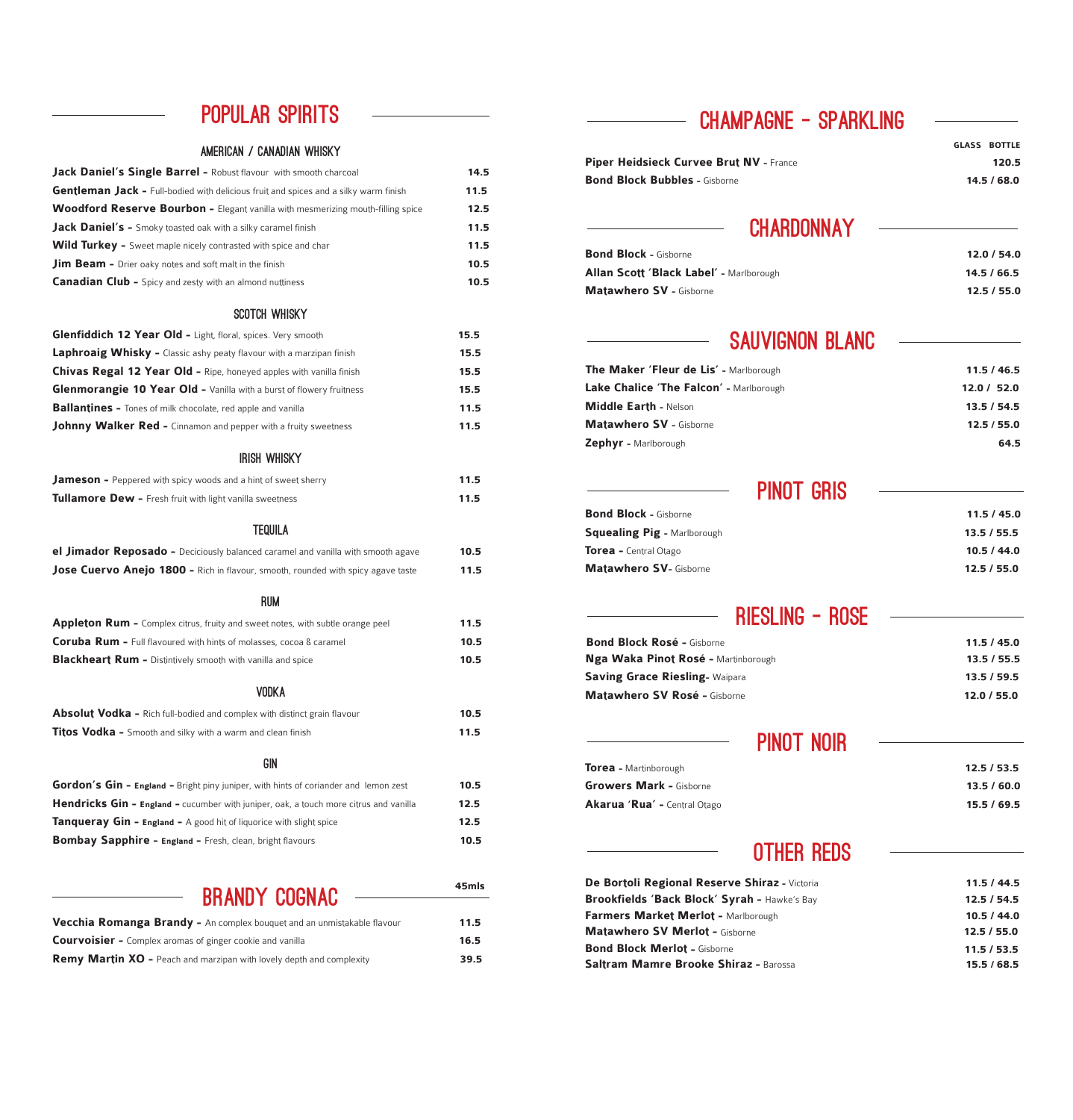# POPULAR SPIRITS

#### AMERICAN / CANADIAN WHISKY

| <b>Jack Daniel's Single Barrel - Robust flavour with smooth charcoal</b>                    | 14.5 |
|---------------------------------------------------------------------------------------------|------|
| <b>Gentleman Jack - Full-bodied with delicious fruit and spices and a silky warm finish</b> | 11.5 |
| <b>Woodford Reserve Bourbon -</b> Elegant vanilla with mesmerizing mouth-filling spice      | 12.5 |
| <b>Jack Daniel's -</b> Smoky toasted oak with a silky caramel finish                        | 11.5 |
| <b>Wild Turkey</b> - Sweet maple nicely contrasted with spice and char                      | 11.5 |
| <b>Jim Beam -</b> Drier oaky notes and soft malt in the finish                              | 10.5 |
| <b>Canadian Club -</b> Spicy and zesty with an almond nuttiness                             | 10.5 |
| SCOTCH WHISKY                                                                               |      |
| <b>Glenfiddich 12 Year Old - Light, floral, spices. Very smooth</b>                         | 15.5 |
| <b>Laphroaig Whisky -</b> Classic ashy peaty flavour with a marzipan finish                 | 15.5 |
| Chivas Regal 12 Year Old - Ripe, honeyed apples with vanilla finish                         | 15.5 |
| <b>Glenmorangie 10 Year Old - Vanilla with a burst of flowery fruitness</b>                 | 15.5 |

#### IRISH WHISKY

**Ballantines -** Tones of milk chocolate, red apple and vanilla **11.5 Johnny Walker Red -** Cinnamon and pepper with a fruity sweetness **11.5** 

| <b>Jameson</b> - Peppered with spicy woods and a hint of sweet sherry | 11.5 |
|-----------------------------------------------------------------------|------|
| <b>Tullamore Dew -</b> Fresh fruit with light vanilla sweetness       | 11.5 |
| TEAUL A                                                               |      |

#### TEQUILA

| <b>el Jimador Reposado -</b> Deciciously balanced caramel and vanilla with smooth agave | 10.5 |
|-----------------------------------------------------------------------------------------|------|
| <b>Jose Cuervo Anejo 1800 - Rich in flavour, smooth, rounded with spicy agave taste</b> | 11.5 |
| rum                                                                                     |      |
| <b>Appleton Rum -</b> Complex citrus, fruity and sweet notes, with subtle orange peel   | 11.5 |

| <b>Experience in the complex citizes</b> maily and sweet notes, with subtle orange peer | .    |
|-----------------------------------------------------------------------------------------|------|
| <b>Coruba Rum -</b> Full flavoured with hints of molasses, cocoa & caramel              | 10.5 |
| <b>Blackheart Rum -</b> Distintively smooth with vanilla and spice                      | 10.5 |

#### VODKA

| <b>Absolut Vodka -</b> Rich full-bodied and complex with distinct grain flavour              | 10.5 |
|----------------------------------------------------------------------------------------------|------|
| <b>Titos Vodka</b> - Smooth and silky with a warm and clean finish                           | 11.5 |
| GIN                                                                                          |      |
| <b>Gordon's Gin - England -</b> Bright piny juniper, with hints of coriander and lemon zest  | 10.5 |
| <b>Hendricks Gin - England -</b> cucumber with juniper, oak, a touch more citrus and vanilla | 12.5 |
| <b>Tanqueray Gin - England -</b> A good hit of liquorice with slight spice                   | 12.5 |
| <b>Bombay Sapphire - England - Fresh, clean, bright flavours</b>                             | 10.5 |

#### BRANDY COGNAC

**45mls**

| <b>Vecchia Romanga Brandy -</b> An complex bouquet and an unmistakable flavour | 11.5 |
|--------------------------------------------------------------------------------|------|
| <b>Courvoisier -</b> Complex aromas of ginger cookie and vanilla               | 16.5 |
| <b>Remy Martin XO</b> - Peach and marzipan with lovely depth and complexity    | 39.5 |

## CHAMPAGNE - SPARKLING

|                                         | <b>GLASS BOTTLE</b> |
|-----------------------------------------|---------------------|
| Piper Heidsieck Curvee Brut NV - France | 120.5               |
| <b>Bond Block Bubbles - Gisborne</b>    | 14.5/68.0           |
|                                         |                     |

## **CHARDONNAY**

| <b>Bond Block - Gisborne</b>            | 12.0 / 54.0 |
|-----------------------------------------|-------------|
| Allan Scott 'Black Label' - Marlborough | 14.5/66.5   |
| <b>Matawhero SV - Gisborne</b>          | 12.5/55.0   |

# SAUVIGNON BLANC

| The Maker 'Fleur de Lis' - Marlborough         | 11.5 / 46.5 |
|------------------------------------------------|-------------|
| <b>Lake Chalice 'The Falcon' -</b> Marlborough | 12.0 / 52.0 |
| <b>Middle Earth - Nelson</b>                   | 13.5/54.5   |
| <b>Matawhero SV - Gisborne</b>                 | 12.5/55.0   |
| Zephyr - Marlborough                           | 64.5        |

| <b>PINOT GRIS</b>                  |             |
|------------------------------------|-------------|
| <b>Bond Block - Gisborne</b>       | 11.5/45.0   |
| <b>Squealing Pig - Marlborough</b> | 13.5 / 55.5 |
| <b>Torea -</b> Central Otago       | 10.5/44.0   |
| <b>Matawhero SV- Gisborne</b>      | 12.5/55.0   |

| RIESLING - ROSE                            |             |
|--------------------------------------------|-------------|
| <b>Bond Block Rosé - Gisborne</b>          | 11.5/45.0   |
| <b>Nga Waka Pinot Rosé - Martinborough</b> | 13.5/55.5   |
| <b>Saving Grace Riesling- Waipara</b>      | 13.5 / 59.5 |
| Matawhero SV Rosé - Gisborne               | 12.0 / 55.0 |

|                                     | PINOT NOIR |             |
|-------------------------------------|------------|-------------|
| <b>Torea</b> - Martinborough        |            | 12.5/53.5   |
| <b>Growers Mark - Gisborne</b>      |            | 13.5/60.0   |
| <b>Akarua 'Rua' -</b> Central Otago |            | 15.5 / 69.5 |

# OTHER REDS

| De Bortoli Regional Reserve Shiraz - Victoria | 11.5/44.5   |
|-----------------------------------------------|-------------|
| Brookfields 'Back Block' Syrah - Hawke's Bay  | 12.5/54.5   |
| <b>Farmers Market Merlot - Marlborough</b>    | 10.5 / 44.0 |
| <b>Matawhero SV Merlot - Gisborne</b>         | 12.5/55.0   |
| <b>Bond Block Merlot - Gisborne</b>           | 11.5 / 53.5 |
| Saltram Mamre Brooke Shiraz - Barossa         | 15.5/68.5   |